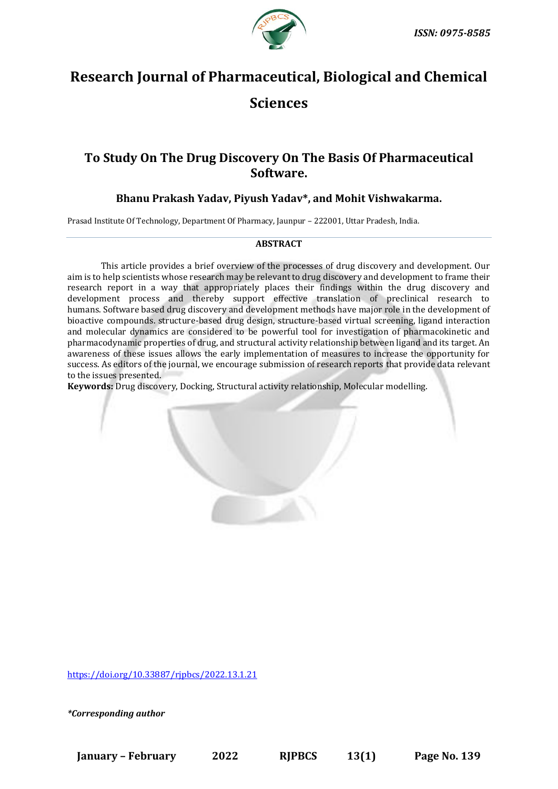

# **Research Journal of Pharmaceutical, Biological and Chemical Sciences**

## **To Study On The Drug Discovery On The Basis Of Pharmaceutical Software.**

### **Bhanu Prakash Yadav, Piyush Yadav\*, and Mohit Vishwakarma.**

Prasad Institute Of Technology, Department Of Pharmacy, Jaunpur – 222001, Uttar Pradesh, India.

#### **ABSTRACT**

This article provides a brief overview of the processes of drug discovery and development. Our aim is to help scientists whose research may be relevant to drug discovery and development to frame their research report in a way that appropriately places their findings within the drug discovery and development process and thereby support effective translation of preclinical research to humans. Software [based](https://www.sciencedirect.com/topics/pharmacology-toxicology-and-pharmaceutical-science/methimazole) drug discovery and development methods have major role in the development of bioactive compounds. structure-based drug design, structure-based virtual screening, ligand interaction and molecular dynamics are considered to be powerful tool for investigation of pharmacokinetic and pharmacodynamic properties of drug, and structural activity relationship between ligand and its target. An awareness of these issues allows the early implementation of measures to increase the opportunity for success. As editors of the journal, we encourage submission of research reports that provide data relevant to the issues presented.

**Keywords:** Drug discovery, Docking, Structural activity relationship, Molecular modelling.

<https://doi.org/10.33887/rjpbcs/2022.13.1.21>

*\*Corresponding author*

**January – February 2022 RJPBCS 13(1) Page No. 139**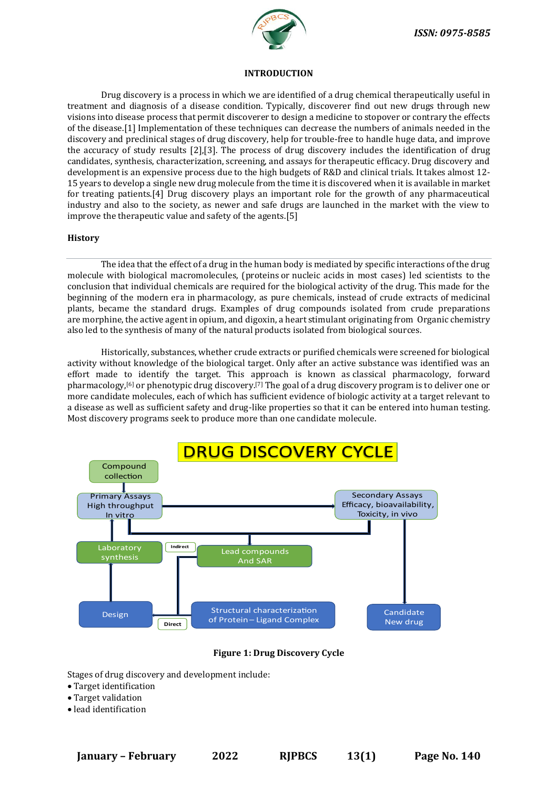

#### **INTRODUCTION**

Drug discovery is a process in which we are identified of a drug chemical therapeutically useful in treatment and diagnosis of a disease condition. Typically, discoverer find out new drugs through new visions into disease process that permit discoverer to design a medicine to stopover or contrary the effects of the disease.[1] Implementation of these techniques can decrease the numbers of animals needed in the discovery and preclinical stages of drug discovery, help for trouble-free to handle huge data, and improve the accuracy of study results [2],[3]. The process of drug discovery includes the identification of drug candidates, synthesis, characterization, screening, and assays for therapeutic efficacy. Drug discovery and development is an expensive process due to the high budgets of R&D and clinical trials. It takes almost 12- 15 years to develop a single new drug molecule from the time it is discovered when it is available in market for treating patients.[4] Drug discovery plays an important role for the growth of any pharmaceutical industry and also to the society, as newer and safe drugs are launched in the market with the view to improve the therapeutic value and safety of the agents.[5]

#### **History**

The idea that the effect of a drug in the human body is mediated by specific interactions of the drug molecule with biological macromolecules, [\(proteins](https://en.wikipedia.org/wiki/Protein) or [nucleic acids](https://en.wikipedia.org/wiki/Nucleic_acid) in most cases) led scientists to the conclusion that individual chemicals are required for the biological activity of the drug. This made for the beginning of the modern era in [pharmacology,](https://en.wikipedia.org/wiki/Pharmacology) as pure chemicals, instead of crude extracts of [medicinal](https://en.wikipedia.org/wiki/Medicinal_plants)  [plants,](https://en.wikipedia.org/wiki/Medicinal_plants) became the standard drugs. Examples of drug compounds isolated from crude preparations are [morphine,](https://en.wikipedia.org/wiki/Morphine) the active agent in opium, and [digoxin,](https://en.wikipedia.org/wiki/Digoxin) a heart stimulant originating from Organic chemistry also led to the synthesis of many of the [natural products](https://en.wikipedia.org/wiki/Natural_product) isolated from biological sources.

Historically, substances, whether crude extracts or purified chemicals were screened for biological activity without knowledge of the [biological target.](https://en.wikipedia.org/wiki/Biological_target) Only after an active substance was identified was an effort made to identify the target. This approach is known as [classical pharmacology,](https://en.wikipedia.org/wiki/Classical_pharmacology) forward pharmacology,<sup>[6]</sup> or phenotypic drug discovery.<sup>[7]</sup> The goal of a drug discovery program is to deliver one or more candidate molecules, each of which has sufficient evidence of biologic activity at a target relevant to a disease as well as sufficient safety and drug-like properties so that it can be entered into human testing. Most discovery programs seek to produce more than one candidate molecule.



#### **Figure 1: Drug Discovery Cycle**

Stages of drug discovery and development include:

- Target identification
- Target validation
- lead identification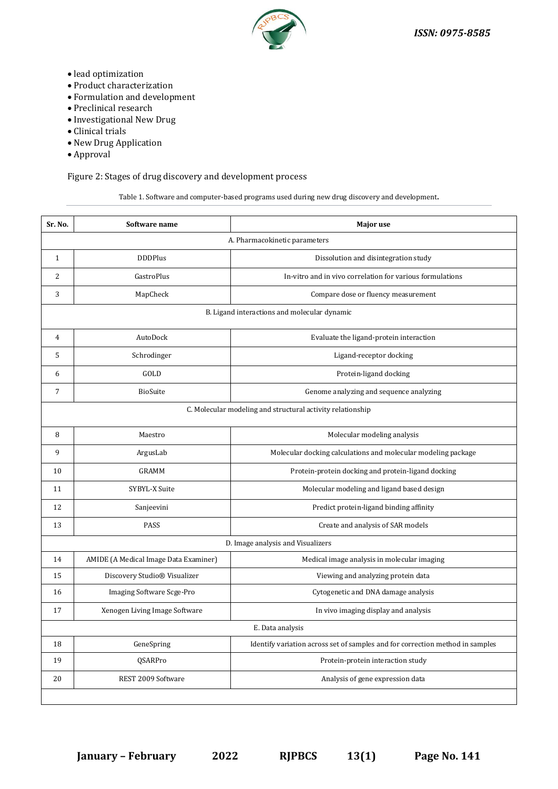

- lead optimization
- Product characterization
- Formulation and development
- Preclinical research
- Investigational New Drug
- Clinical trials
- New Drug Application
- Approval

Figure 2: Stages of drug discovery and development process

Table 1. Software and computer-based programs used during new drug discovery and development**.**

| Sr. No.                                                    | Software name                         | Major use                                                                     |
|------------------------------------------------------------|---------------------------------------|-------------------------------------------------------------------------------|
| A. Pharmacokinetic parameters                              |                                       |                                                                               |
| $\mathbf{1}$                                               | <b>DDDPlus</b>                        | Dissolution and disintegration study                                          |
| 2                                                          | GastroPlus                            | In-vitro and in vivo correlation for various formulations                     |
| 3                                                          | MapCheck                              | Compare dose or fluency measurement                                           |
| B. Ligand interactions and molecular dynamic               |                                       |                                                                               |
| 4                                                          | AutoDock                              | Evaluate the ligand-protein interaction                                       |
| 5                                                          | Schrodinger                           | Ligand-receptor docking                                                       |
| 6                                                          | GOLD                                  | Protein-ligand docking                                                        |
| 7                                                          | <b>BioSuite</b>                       | Genome analyzing and sequence analyzing                                       |
| C. Molecular modeling and structural activity relationship |                                       |                                                                               |
| 8                                                          | Maestro                               | Molecular modeling analysis                                                   |
| 9                                                          | ArgusLab                              | Molecular docking calculations and molecular modeling package                 |
| 10                                                         | GRAMM                                 | Protein-protein docking and protein-ligand docking                            |
| 11                                                         | SYBYL-X Suite                         | Molecular modeling and ligand based design                                    |
| 12                                                         | Sanjeevini                            | Predict protein-ligand binding affinity                                       |
| 13                                                         | PASS                                  | Create and analysis of SAR models                                             |
| D. Image analysis and Visualizers                          |                                       |                                                                               |
| 14                                                         | AMIDE (A Medical Image Data Examiner) | Medical image analysis in molecular imaging                                   |
| 15                                                         | Discovery Studio® Visualizer          | Viewing and analyzing protein data                                            |
| 16                                                         | Imaging Software Scge-Pro             | Cytogenetic and DNA damage analysis                                           |
| 17                                                         | Xenogen Living Image Software         | In vivo imaging display and analysis                                          |
| E. Data analysis                                           |                                       |                                                                               |
| 18                                                         | GeneSpring                            | Identify variation across set of samples and for correction method in samples |
| 19                                                         | QSARPro                               | Protein-protein interaction study                                             |
| 20                                                         | REST 2009 Software                    | Analysis of gene expression data                                              |
|                                                            |                                       |                                                                               |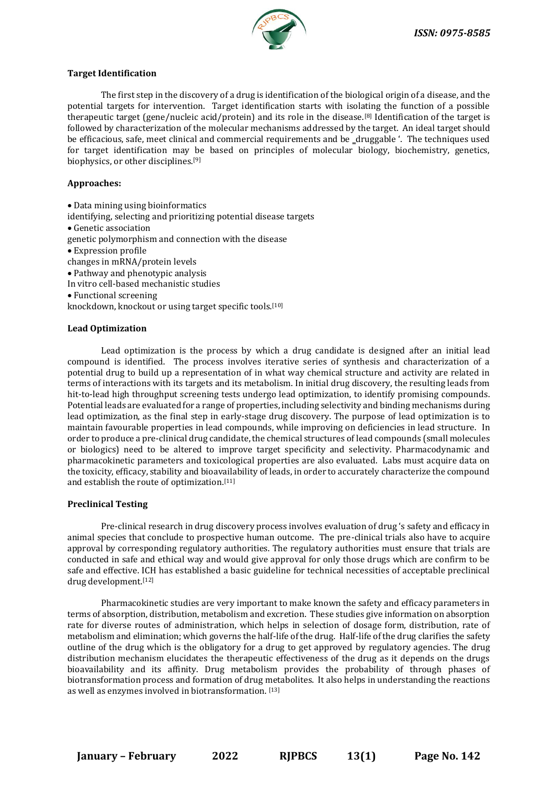

#### **Target Identification**

The first step in the discovery of a drug is identification of the biological origin of a disease, and the potential targets for intervention. Target identification starts with isolating the function of a possible therapeutic target (gene/nucleic acid/protein) and its role in the disease.[8] Identification of the target is followed by characterization of the molecular mechanisms addressed by the target. An ideal target should be efficacious, safe, meet clinical and commercial requirements and be ‗druggable '. The techniques used for target identification may be based on principles of molecular biology, biochemistry, genetics, biophysics, or other disciplines.[9]

#### **Approaches:**

• Data mining using bioinformatics identifying, selecting and prioritizing potential disease targets • Genetic association genetic polymorphism and connection with the disease • Expression profile changes in mRNA/protein levels • Pathway and phenotypic analysis In vitro cell-based mechanistic studies • Functional screening knockdown, knockout or using target specific tools.[10]

#### **Lead Optimization**

Lead optimization is the process by which a drug candidate is designed after an initial lead compound is identified. The process involves iterative series of synthesis and characterization of a potential drug to build up a representation of in what way chemical structure and activity are related in terms of interactions with its targets and its metabolism. In initial drug discovery, the resulting leads from hit-to-lead high throughput screening tests undergo lead optimization, to identify promising compounds. Potential leads are evaluated for a range of properties, including selectivity and binding mechanisms during lead optimization, as the final step in early-stage drug discovery. The purpose of lead optimization is to maintain favourable properties in lead compounds, while improving on deficiencies in lead structure. In order to produce a pre-clinical drug candidate, the chemical structures of lead compounds (small molecules or biologics) need to be altered to improve target specificity and selectivity. Pharmacodynamic and pharmacokinetic parameters and toxicological properties are also evaluated. Labs must acquire data on the toxicity, efficacy, stability and bioavailability of leads, in order to accurately characterize the compound and establish the route of optimization.[11]

#### **Preclinical Testing**

Pre-clinical research in drug discovery process involves evaluation of drug 's safety and efficacy in animal species that conclude to prospective human outcome. The pre-clinical trials also have to acquire approval by corresponding regulatory authorities. The regulatory authorities must ensure that trials are conducted in safe and ethical way and would give approval for only those drugs which are confirm to be safe and effective. ICH has established a basic guideline for technical necessities of acceptable preclinical drug development.[12]

Pharmacokinetic studies are very important to make known the safety and efficacy parameters in terms of absorption, distribution, metabolism and excretion. These studies give information on absorption rate for diverse routes of administration, which helps in selection of dosage form, distribution, rate of metabolism and elimination; which governs the half-life of the drug. Half-life of the drug clarifies the safety outline of the drug which is the obligatory for a drug to get approved by regulatory agencies. The drug distribution mechanism elucidates the therapeutic effectiveness of the drug as it depends on the drugs bioavailability and its affinity. Drug metabolism provides the probability of through phases of biotransformation process and formation of drug metabolites. It also helps in understanding the reactions as well as enzymes involved in biotransformation. [13]

**January – February 2022 RJPBCS 13(1) Page No. 142**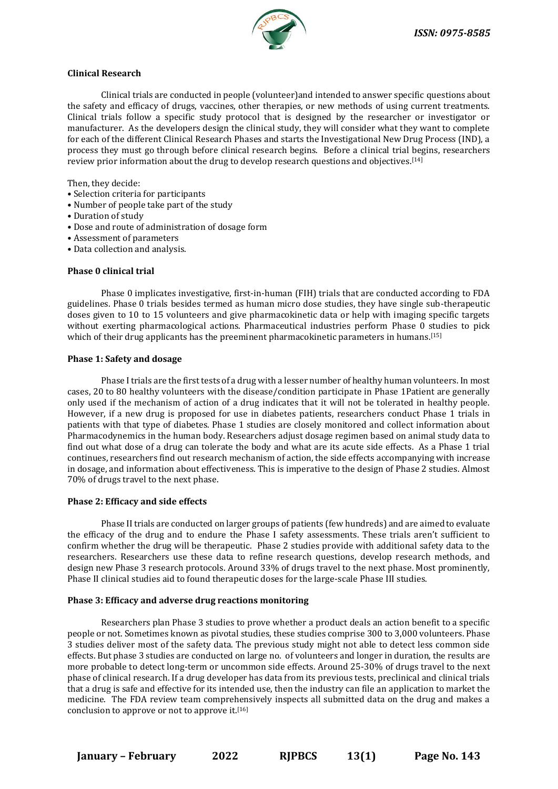

#### **Clinical Research**

Clinical trials are conducted in people (volunteer)and intended to answer specific questions about the safety and efficacy of drugs, vaccines, other therapies, or new methods of using current treatments. Clinical trials follow a specific study protocol that is designed by the researcher or investigator or manufacturer. As the developers design the clinical study, they will consider what they want to complete for each of the different Clinical Research Phases and starts the Investigational New Drug Process (IND), a process they must go through before clinical research begins. Before a clinical trial begins, researchers review prior information about the drug to develop research questions and objectives.[14]

Then, they decide:

- Selection criteria for participants
- Number of people take part of the study
- Duration of study
- Dose and route of administration of dosage form
- Assessment of parameters
- Data collection and analysis.

#### **Phase 0 clinical trial**

Phase 0 implicates investigative, first-in-human (FIH) trials that are conducted according to FDA guidelines. Phase 0 trials besides termed as human micro dose studies, they have single sub-therapeutic doses given to 10 to 15 volunteers and give pharmacokinetic data or help with imaging specific targets without exerting pharmacological actions. Pharmaceutical industries perform Phase 0 studies to pick which of their drug applicants has the preeminent pharmacokinetic parameters in humans.<sup>[15]</sup>

#### **Phase 1: Safety and dosage**

Phase I trials are the first tests of a drug with a lesser number of healthy human volunteers. In most cases, 20 to 80 healthy volunteers with the disease/condition participate in Phase 1Patient are generally only used if the mechanism of action of a drug indicates that it will not be tolerated in healthy people. However, if a new drug is proposed for use in diabetes patients, researchers conduct Phase 1 trials in patients with that type of diabetes. Phase 1 studies are closely monitored and collect information about Pharmacodynemics in the human body. Researchers adjust dosage regimen based on animal study data to find out what dose of a drug can tolerate the body and what are its acute side effects. As a Phase 1 trial continues, researchers find out research mechanism of action, the side effects accompanying with increase in dosage, and information about effectiveness. This is imperative to the design of Phase 2 studies. Almost 70% of drugs travel to the next phase.

#### **Phase 2: Efficacy and side effects**

Phase II trials are conducted on larger groups of patients (few hundreds) and are aimed to evaluate the efficacy of the drug and to endure the Phase I safety assessments. These trials aren't sufficient to confirm whether the drug will be therapeutic. Phase 2 studies provide with additional safety data to the researchers. Researchers use these data to refine research questions, develop research methods, and design new Phase 3 research protocols. Around 33% of drugs travel to the next phase. Most prominently, Phase II clinical studies aid to found therapeutic doses for the large-scale Phase III studies.

#### **Phase 3: Efficacy and adverse drug reactions monitoring**

Researchers plan Phase 3 studies to prove whether a product deals an action benefit to a specific people or not. Sometimes known as pivotal studies, these studies comprise 300 to 3,000 volunteers. Phase 3 studies deliver most of the safety data. The previous study might not able to detect less common side effects. But phase 3 studies are conducted on large no. of volunteers and longer in duration, the results are more probable to detect long-term or uncommon side effects. Around 25-30% of drugs travel to the next phase of clinical research. If a drug developer has data from its previous tests, preclinical and clinical trials that a drug is safe and effective for its intended use, then the industry can file an application to market the medicine. The FDA review team comprehensively inspects all submitted data on the drug and makes a conclusion to approve or not to approve it.[16]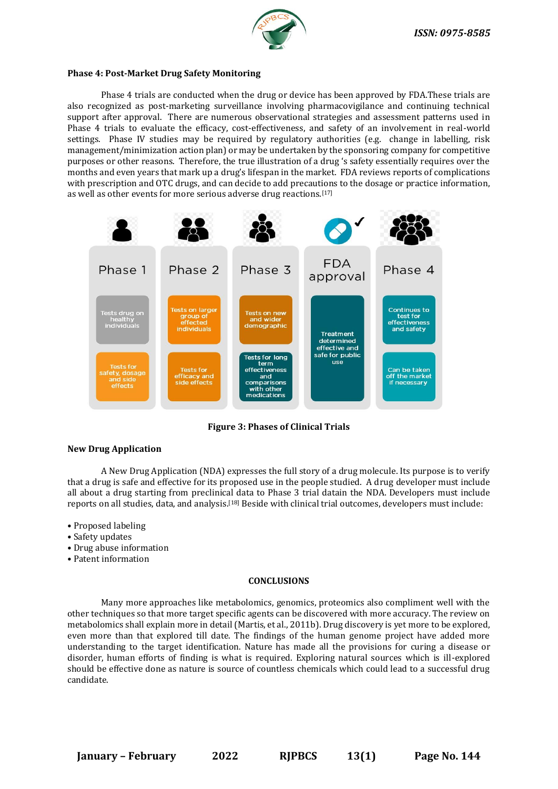

#### **Phase 4: Post-Market Drug Safety Monitoring**

Phase 4 trials are conducted when the drug or device has been approved by FDA.These trials are also recognized as post-marketing surveillance involving pharmacovigilance and continuing technical support after approval. There are numerous observational strategies and assessment patterns used in Phase 4 trials to evaluate the efficacy, cost-effectiveness, and safety of an involvement in real-world settings. Phase IV studies may be required by regulatory authorities (e.g. change in labelling, risk management/minimization action plan) or may be undertaken by the sponsoring company for competitive purposes or other reasons. Therefore, the true illustration of a drug 's safety essentially requires over the months and even years that mark up a drug's lifespan in the market. FDA reviews reports of complications with prescription and OTC drugs, and can decide to add precautions to the dosage or practice information, as well as other events for more serious adverse drug reactions.[17]



**Figure 3: Phases of Clinical Trials**

#### **New Drug Application**

A New Drug Application (NDA) expresses the full story of a drug molecule. Its purpose is to verify that a drug is safe and effective for its proposed use in the people studied. A drug developer must include all about a drug starting from preclinical data to Phase 3 trial datain the NDA. Developers must include reports on all studies, data, and analysis.[18] Beside with clinical trial outcomes, developers must include:

- Proposed labeling
- Safety updates
- Drug abuse information
- Patent information

#### **CONCLUSIONS**

Many more approaches like metabolomics, genomics, proteomics also compliment well with the other techniques so that more target specific agents can be discovered with more accuracy. The review on metabolomics shall explain more in detail (Martis, et al., 2011b). Drug discovery is yet more to be explored, even more than that explored till date. The findings of the human genome project have added more understanding to the target identification. Nature has made all the provisions for curing a disease or disorder, human efforts of finding is what is required. Exploring natural sources which is ill-explored should be effective done as nature is source of countless chemicals which could lead to a successful drug candidate.